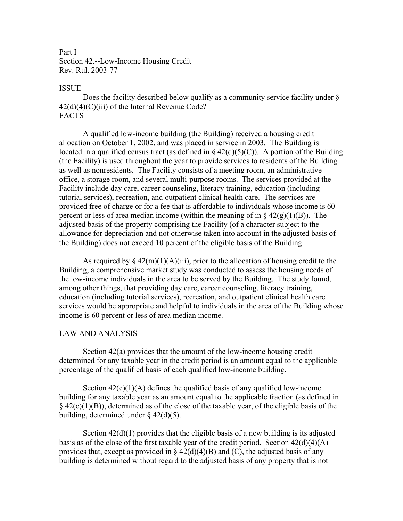Part I Section 42.--Low-Income Housing Credit Rev. Rul. 2003-77

## ISSUE

 Does the facility described below qualify as a community service facility under §  $42(d)(4)(C)(iii)$  of the Internal Revenue Code? FACTS

 A qualified low-income building (the Building) received a housing credit allocation on October 1, 2002, and was placed in service in 2003. The Building is located in a qualified census tract (as defined in  $\S$  42(d)(5)(C)). A portion of the Building (the Facility) is used throughout the year to provide services to residents of the Building as well as nonresidents. The Facility consists of a meeting room, an administrative office, a storage room, and several multi-purpose rooms. The services provided at the Facility include day care, career counseling, literacy training, education (including tutorial services), recreation, and outpatient clinical health care. The services are provided free of charge or for a fee that is affordable to individuals whose income is 60 percent or less of area median income (within the meaning of in  $\S 42(g)(1)(B)$ ). The adjusted basis of the property comprising the Facility (of a character subject to the allowance for depreciation and not otherwise taken into account in the adjusted basis of the Building) does not exceed 10 percent of the eligible basis of the Building.

As required by  $\frac{2(2m)(1)(A)(iii)}{2m}$ , prior to the allocation of housing credit to the Building, a comprehensive market study was conducted to assess the housing needs of the low-income individuals in the area to be served by the Building. The study found, among other things, that providing day care, career counseling, literacy training, education (including tutorial services), recreation, and outpatient clinical health care services would be appropriate and helpful to individuals in the area of the Building whose income is 60 percent or less of area median income.

## LAW AND ANALYSIS

 Section 42(a) provides that the amount of the low-income housing credit determined for any taxable year in the credit period is an amount equal to the applicable percentage of the qualified basis of each qualified low-income building.

Section  $42(c)(1)(A)$  defines the qualified basis of any qualified low-income building for any taxable year as an amount equal to the applicable fraction (as defined in  $§$  42(c)(1)(B)), determined as of the close of the taxable year, of the eligible basis of the building, determined under  $\S$  42(d)(5).

Section  $42(d)(1)$  provides that the eligible basis of a new building is its adjusted basis as of the close of the first taxable year of the credit period. Section 42(d)(4)(A) provides that, except as provided in  $\S$  42(d)(4)(B) and (C), the adjusted basis of any building is determined without regard to the adjusted basis of any property that is not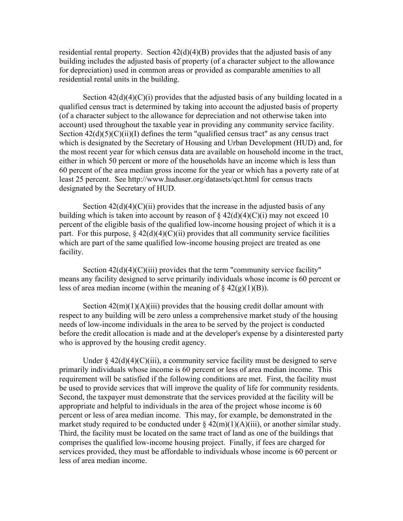residential rental property. Section  $42(d)(4)(B)$  provides that the adjusted basis of any building includes the adjusted basis of property (of a character subject to the allowance for depreciation) used in common areas or provided as comparable amenities to all residential rental units in the building.

Section  $42(d)(4)(C)(i)$  provides that the adjusted basis of any building located in a qualified census tract is determined by taking into account the adjusted basis of property (of a character subject to the allowance for depreciation and not otherwise taken into account) used throughout the taxable year in providing any community service facility. Section  $42(d)(5)(C)(ii)(I)$  defines the term "qualified census tract" as any census tract which is designated by the Secretary of Housing and Urban Development (HUD) and, for the most recent year for which census data are available on household income in the tract, either in which 50 percent or more of the households have an income which is less than 60 percent of the area median gross income for the year or which has a poverty rate of at least 25 percent. See http://www.huduser.org/datasets/qct.html for census tracts designated by the Secretary of HUD.

Section  $42(d)(4)(C)(ii)$  provides that the increase in the adjusted basis of any building which is taken into account by reason of  $\S 42(d)(4)(C)(i)$  may not exceed 10 percent of the eligible basis of the qualified low-income housing project of which it is a part. For this purpose,  $\S$  42(d)(4)(C)(ii) provides that all community service facilities which are part of the same qualified low-income housing project are treated as one facility.

Section  $42(d)(4)(C)(iii)$  provides that the term "community service facility" means any facility designed to serve primarily individuals whose income is 60 percent or less of area median income (within the meaning of  $\S 42(g)(1)(B)$ ).

Section  $42(m)(1)(A)(iii)$  provides that the housing credit dollar amount with respect to any building will be zero unless a comprehensive market study of the housing needs of low-income individuals in the area to be served by the project is conducted before the credit allocation is made and at the developer's expense by a disinterested party who is approved by the housing credit agency.

Under  $\S 42(d)(4)(C)(iii)$ , a community service facility must be designed to serve primarily individuals whose income is 60 percent or less of area median income. This requirement will be satisfied if the following conditions are met. First, the facility must be used to provide services that will improve the quality of life for community residents. Second, the taxpayer must demonstrate that the services provided at the facility will be appropriate and helpful to individuals in the area of the project whose income is 60 percent or less of area median income. This may, for example, be demonstrated in the market study required to be conducted under  $\S 42(m)(1)(A)(iii)$ , or another similar study. Third, the facility must be located on the same tract of land as one of the buildings that comprises the qualified low-income housing project. Finally, if fees are charged for services provided, they must be affordable to individuals whose income is 60 percent or less of area median income.